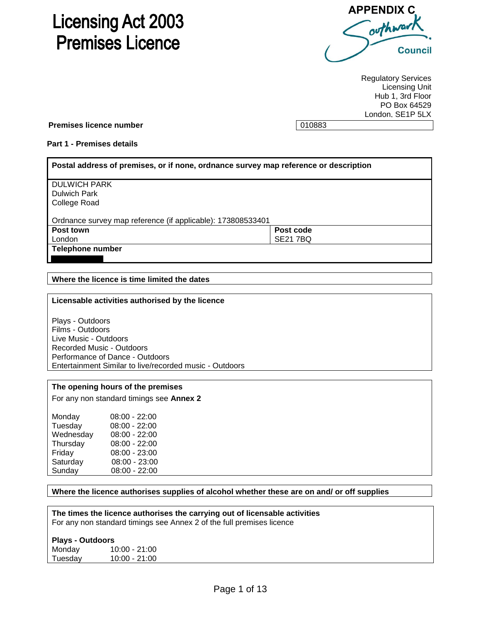# **Licensing Act 2003 Premises Licence**



Regulatory Services Licensing Unit Hub 1, 3rd Floor PO Box 64529 London, SE1P 5LX

**Premises licence number 100883** 

## **Part 1 - Premises details**

| Postal address of premises, or if none, ordnance survey map reference or description |                 |
|--------------------------------------------------------------------------------------|-----------------|
| <b>DULWICH PARK</b>                                                                  |                 |
| <b>Dulwich Park</b>                                                                  |                 |
| College Road                                                                         |                 |
|                                                                                      |                 |
| Ordnance survey map reference (if applicable): 173808533401                          |                 |
| Post town                                                                            | Post code       |
| London                                                                               | <b>SE21 7BQ</b> |
| <b>Telephone number</b>                                                              |                 |
|                                                                                      |                 |

**Where the licence is time limited the dates** 

### **Licensable activities authorised by the licence**

Plays - Outdoors Films - Outdoors Live Music - Outdoors Recorded Music - Outdoors Performance of Dance - Outdoors Entertainment Similar to live/recorded music - Outdoors

### **The opening hours of the premises**

For any non standard timings see **Annex 2**

| Monday    | $08:00 - 22:00$ |
|-----------|-----------------|
| Tuesday   | $08:00 - 22:00$ |
| Wednesday | $08:00 - 22:00$ |
| Thursday  | $08:00 - 22:00$ |
| Friday    | $08:00 - 23:00$ |
| Saturday  | 08:00 - 23:00   |
| Sunday    | 08:00 - 22:00   |

# **Where the licence authorises supplies of alcohol whether these are on and/ or off supplies**

**The times the licence authorises the carrying out of licensable activities** For any non standard timings see Annex 2 of the full premises licence

#### **Plays - Outdoors**

Monday 10:00 - 21:00 Tuesday 10:00 - 21:00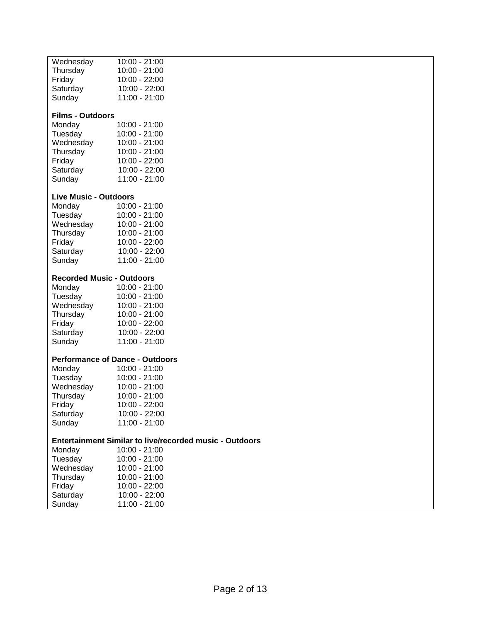| Wednesday                              | 10:00 - 21:00                                                  |
|----------------------------------------|----------------------------------------------------------------|
| Thursday                               | $10:00 - 21:00$                                                |
|                                        |                                                                |
| Friday                                 | $10:00 - 22:00$                                                |
| Saturday                               | 10:00 - 22:00                                                  |
| Sunday                                 | 11:00 - 21:00                                                  |
|                                        |                                                                |
| <b>Films - Outdoors</b>                |                                                                |
|                                        |                                                                |
| Monday                                 | 10:00 - 21:00                                                  |
| Tuesday                                | $10:00 - 21:00$                                                |
| Wednesday                              | $10:00 - 21:00$                                                |
| Thursday                               | $10:00 - 21:00$                                                |
|                                        |                                                                |
| Friday                                 | $10:00 - 22:00$                                                |
| Saturday                               | 10:00 - 22:00                                                  |
| Sunday                                 | $11:00 - 21:00$                                                |
|                                        |                                                                |
|                                        |                                                                |
| <b>Live Music - Outdoors</b>           |                                                                |
| Monday                                 | $10:00 - 21:00$                                                |
| Tuesday                                | $10:00 - 21:00$                                                |
| Wednesday                              | $10:00 - 21:00$                                                |
| Thursday                               | 10:00 - 21:00                                                  |
|                                        |                                                                |
| Friday                                 | $10:00 - 22:00$                                                |
| Saturday                               | $10:00 - 22:00$                                                |
| Sunday                                 | $11:00 - 21:00$                                                |
|                                        |                                                                |
|                                        |                                                                |
| <b>Recorded Music - Outdoors</b>       |                                                                |
| Monday                                 | $10:00 - 21:00$                                                |
| Tuesday                                | $10:00 - 21:00$                                                |
| Wednesday                              | $10:00 - 21:00$                                                |
|                                        |                                                                |
| Thursday                               | $10:00 - 21:00$                                                |
| Friday                                 | $10:00 - 22:00$                                                |
| Saturday                               | 10:00 - 22:00                                                  |
| Sunday                                 | 11:00 - 21:00                                                  |
|                                        |                                                                |
| <b>Performance of Dance - Outdoors</b> |                                                                |
|                                        |                                                                |
| Monday                                 | $10:00 - 21:00$                                                |
| Tuesday                                | $10:00 - 21:00$                                                |
| Wednesday                              | $10:00 - 21:00$                                                |
| Thursday                               | $10:00 - 21:00$                                                |
|                                        |                                                                |
| Friday                                 | 10:00 - 22:00                                                  |
| Saturday                               | 10:00 - 22:00                                                  |
| Sunday                                 | $11:00 - 21:00$                                                |
|                                        |                                                                |
|                                        | <b>Entertainment Similar to live/recorded music - Outdoors</b> |
| Monday                                 | $10:00 - 21:00$                                                |
|                                        |                                                                |
| Tuesday                                | $10:00 - 21:00$                                                |
| Wednesday                              | $10:00 - 21:00$                                                |
| Thursday                               | $10:00 - 21:00$                                                |
| Friday                                 | 10:00 - 22:00                                                  |
|                                        |                                                                |
| Saturday                               | 10:00 - 22:00                                                  |
| Sunday                                 | 11:00 - 21:00                                                  |
|                                        |                                                                |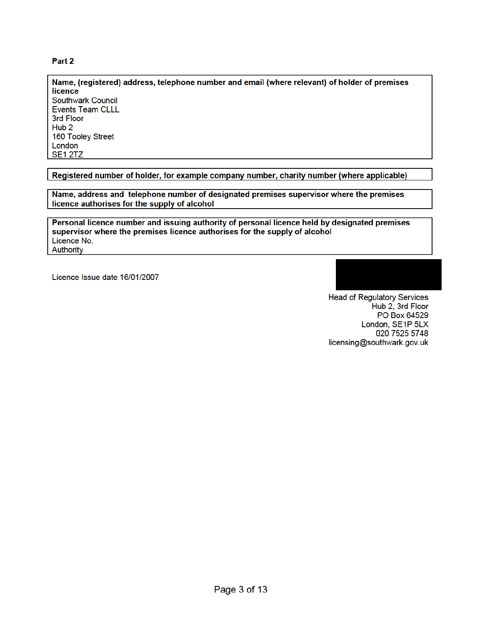# Part 2

Name, (registered) address, telephone number and email (where relevant) of holder of premises licence Southwark Council **Events Team CLLL** 3rd Floor Hub<sub>2</sub> 160 Tooley Street London **SE1 2TZ** 

Registered number of holder, for example company number, charity number (where applicable)

Name, address and telephone number of designated premises supervisor where the premises licence authorises for the supply of alcohol

Personal licence number and issuing authority of personal licence held by designated premises supervisor where the premises licence authorises for the supply of alcohol Licence No. Authority

Licence Issue date 16/01/2007

**Head of Regulatory Services** Hub 2, 3rd Floor PO Box 64529 London, SE1P 5LX 020 7525 5748 licensing@southwark.gov.uk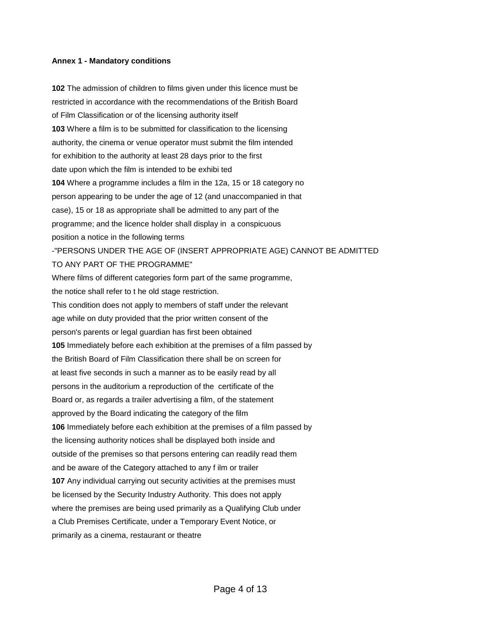## **Annex 1 - Mandatory conditions**

**102** The admission of children to films given under this licence must be restricted in accordance with the recommendations of the British Board of Film Classification or of the licensing authority itself **103** Where a film is to be submitted for classification to the licensing authority, the cinema or venue operator must submit the film intended for exhibition to the authority at least 28 days prior to the first date upon which the film is intended to be exhibi ted **104** Where a programme includes a film in the 12a, 15 or 18 category no person appearing to be under the age of 12 (and unaccompanied in that case), 15 or 18 as appropriate shall be admitted to any part of the programme; and the licence holder shall display in a conspicuous position a notice in the following terms -"PERSONS UNDER THE AGE OF (INSERT APPROPRIATE AGE) CANNOT BE ADMITTED TO ANY PART OF THE PROGRAMME" Where films of different categories form part of the same programme, the notice shall refer to t he old stage restriction. This condition does not apply to members of staff under the relevant age while on duty provided that the prior written consent of the person's parents or legal guardian has first been obtained **105** Immediately before each exhibition at the premises of a film passed by the British Board of Film Classification there shall be on screen for at least five seconds in such a manner as to be easily read by all persons in the auditorium a reproduction of the certificate of the Board or, as regards a trailer advertising a film, of the statement approved by the Board indicating the category of the film **106** Immediately before each exhibition at the premises of a film passed by the licensing authority notices shall be displayed both inside and outside of the premises so that persons entering can readily read them and be aware of the Category attached to any f ilm or trailer **107** Any individual carrying out security activities at the premises must be licensed by the Security Industry Authority. This does not apply where the premises are being used primarily as a Qualifying Club under a Club Premises Certificate, under a Temporary Event Notice, or primarily as a cinema, restaurant or theatre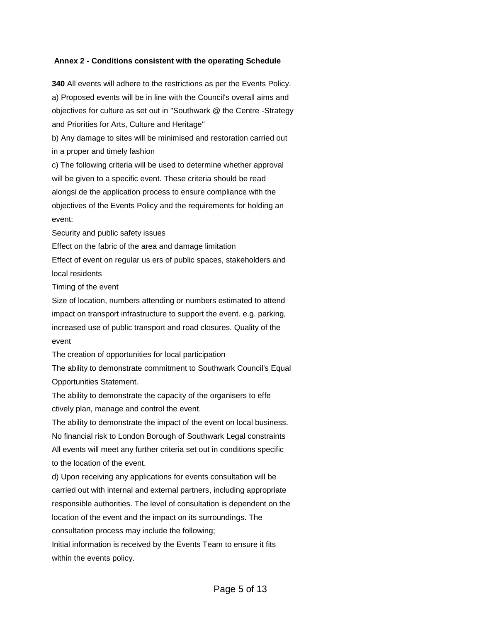## **Annex 2 - Conditions consistent with the operating Schedule**

**340** All events will adhere to the restrictions as per the Events Policy. a) Proposed events will be in line with the Council's overall aims and objectives for culture as set out in "Southwark @ the Centre -Strategy and Priorities for Arts, Culture and Heritage"

b) Any damage to sites will be minimised and restoration carried out in a proper and timely fashion

c) The following criteria will be used to determine whether approval will be given to a specific event. These criteria should be read alongsi de the application process to ensure compliance with the objectives of the Events Policy and the requirements for holding an event:

Security and public safety issues

Effect on the fabric of the area and damage limitation

Effect of event on regular us ers of public spaces, stakeholders and local residents

Timing of the event

Size of location, numbers attending or numbers estimated to attend impact on transport infrastructure to support the event. e.g. parking, increased use of public transport and road closures. Quality of the event

The creation of opportunities for local participation

The ability to demonstrate commitment to Southwark Council's Equal Opportunities Statement.

The ability to demonstrate the capacity of the organisers to effe ctively plan, manage and control the event.

The ability to demonstrate the impact of the event on local business. No financial risk to London Borough of Southwark Legal constraints All events will meet any further criteria set out in conditions specific to the location of the event.

d) Upon receiving any applications for events consultation will be carried out with internal and external partners, including appropriate responsible authorities. The level of consultation is dependent on the location of the event and the impact on its surroundings. The consultation process may include the following; Initial information is received by the Events Team to ensure it fits

within the events policy.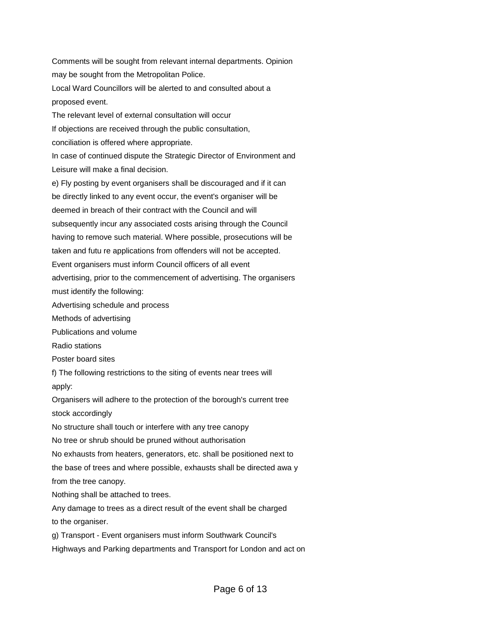Comments will be sought from relevant internal departments. Opinion may be sought from the Metropolitan Police. Local Ward Councillors will be alerted to and consulted about a proposed event. The relevant level of external consultation will occur If objections are received through the public consultation, conciliation is offered where appropriate. In case of continued dispute the Strategic Director of Environment and Leisure will make a final decision. e) Fly posting by event organisers shall be discouraged and if it can be directly linked to any event occur, the event's organiser will be deemed in breach of their contract with the Council and will subsequently incur any associated costs arising through the Council having to remove such material. Where possible, prosecutions will be taken and futu re applications from offenders will not be accepted. Event organisers must inform Council officers of all event advertising, prior to the commencement of advertising. The organisers must identify the following: Advertising schedule and process Methods of advertising Publications and volume Radio stations Poster board sites f) The following restrictions to the siting of events near trees will apply: Organisers will adhere to the protection of the borough's current tree stock accordingly No structure shall touch or interfere with any tree canopy No tree or shrub should be pruned without authorisation No exhausts from heaters, generators, etc. shall be positioned next to the base of trees and where possible, exhausts shall be directed awa y from the tree canopy. Nothing shall be attached to trees. Any damage to trees as a direct result of the event shall be charged to the organiser. g) Transport - Event organisers must inform Southwark Council's Highways and Parking departments and Transport for London and act on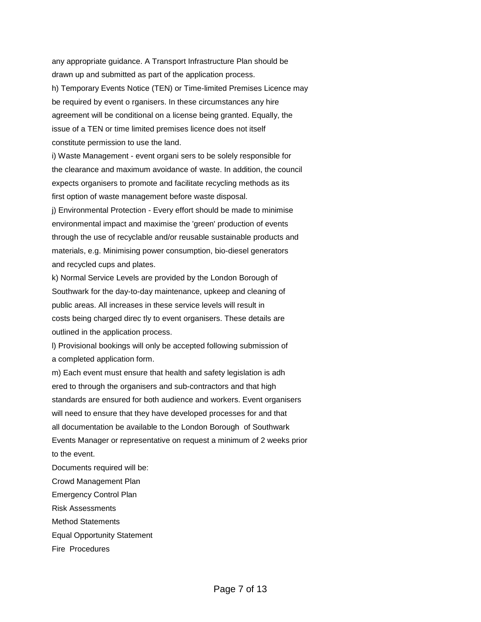any appropriate guidance. A Transport Infrastructure Plan should be drawn up and submitted as part of the application process. h) Temporary Events Notice (TEN) or Time-limited Premises Licence may be required by event o rganisers. In these circumstances any hire agreement will be conditional on a license being granted. Equally, the issue of a TEN or time limited premises licence does not itself constitute permission to use the land.

i) Waste Management - event organi sers to be solely responsible for the clearance and maximum avoidance of waste. In addition, the council expects organisers to promote and facilitate recycling methods as its first option of waste management before waste disposal.

j) Environmental Protection - Every effort should be made to minimise environmental impact and maximise the 'green' production of events through the use of recyclable and/or reusable sustainable products and materials, e.g. Minimising power consumption, bio-diesel generators and recycled cups and plates.

k) Normal Service Levels are provided by the London Borough of Southwark for the day-to-day maintenance, upkeep and cleaning of public areas. All increases in these service levels will result in costs being charged direc tly to event organisers. These details are outlined in the application process.

l) Provisional bookings will only be accepted following submission of a completed application form.

m) Each event must ensure that health and safety legislation is adh ered to through the organisers and sub-contractors and that high standards are ensured for both audience and workers. Event organisers will need to ensure that they have developed processes for and that all documentation be available to the London Borough of Southwark Events Manager or representative on request a minimum of 2 weeks prior to the event.

Documents required will be:

Crowd Management Plan

Emergency Control Plan

Risk Assessments

Method Statements

Equal Opportunity Statement

Fire Procedures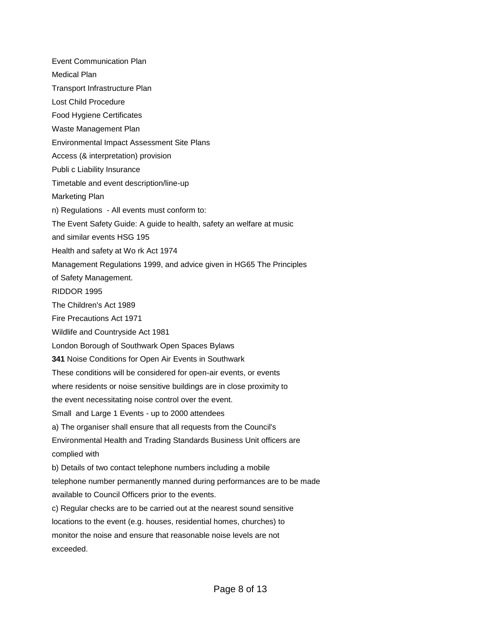Event Communication Plan Medical Plan Transport Infrastructure Plan Lost Child Procedure Food Hygiene Certificates Waste Management Plan Environmental Impact Assessment Site Plans Access (& interpretation) provision Publi c Liability Insurance Timetable and event description/line-up Marketing Plan n) Regulations - All events must conform to: The Event Safety Guide: A guide to health, safety an welfare at music and similar events HSG 195 Health and safety at Wo rk Act 1974 Management Regulations 1999, and advice given in HG65 The Principles of Safety Management. RIDDOR 1995 The Children's Act 1989 Fire Precautions Act 1971 Wildlife and Countryside Act 1981 London Borough of Southwark Open Spaces Bylaws **341** Noise Conditions for Open Air Events in Southwark These conditions will be considered for open-air events, or events where residents or noise sensitive buildings are in close proximity to the event necessitating noise control over the event. Small and Large 1 Events - up to 2000 attendees a) The organiser shall ensure that all requests from the Council's Environmental Health and Trading Standards Business Unit officers are complied with b) Details of two contact telephone numbers including a mobile telephone number permanently manned during performances are to be made available to Council Officers prior to the events. c) Regular checks are to be carried out at the nearest sound sensitive locations to the event (e.g. houses, residential homes, churches) to monitor the noise and ensure that reasonable noise levels are not exceeded.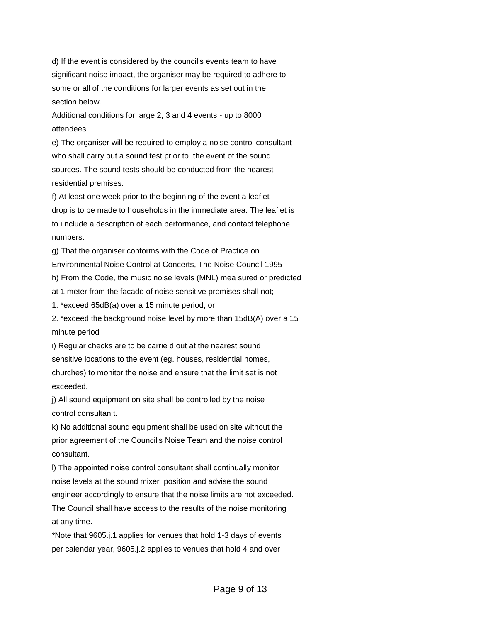d) If the event is considered by the council's events team to have significant noise impact, the organiser may be required to adhere to some or all of the conditions for larger events as set out in the section below.

Additional conditions for large 2, 3 and 4 events - up to 8000 attendees

e) The organiser will be required to employ a noise control consultant who shall carry out a sound test prior to the event of the sound sources. The sound tests should be conducted from the nearest residential premises.

f) At least one week prior to the beginning of the event a leaflet drop is to be made to households in the immediate area. The leaflet is to i nclude a description of each performance, and contact telephone numbers.

g) That the organiser conforms with the Code of Practice on

Environmental Noise Control at Concerts, The Noise Council 1995

h) From the Code, the music noise levels (MNL) mea sured or predicted

at 1 meter from the facade of noise sensitive premises shall not;

1. \*exceed 65dB(a) over a 15 minute period, or

2. \*exceed the background noise level by more than 15dB(A) over a 15 minute period

i) Regular checks are to be carrie d out at the nearest sound sensitive locations to the event (eg. houses, residential homes, churches) to monitor the noise and ensure that the limit set is not exceeded.

j) All sound equipment on site shall be controlled by the noise control consultan t.

k) No additional sound equipment shall be used on site without the prior agreement of the Council's Noise Team and the noise control consultant.

l) The appointed noise control consultant shall continually monitor noise levels at the sound mixer position and advise the sound engineer accordingly to ensure that the noise limits are not exceeded. The Council shall have access to the results of the noise monitoring at any time.

\*Note that 9605.j.1 applies for venues that hold 1-3 days of events per calendar year, 9605.j.2 applies to venues that hold 4 and over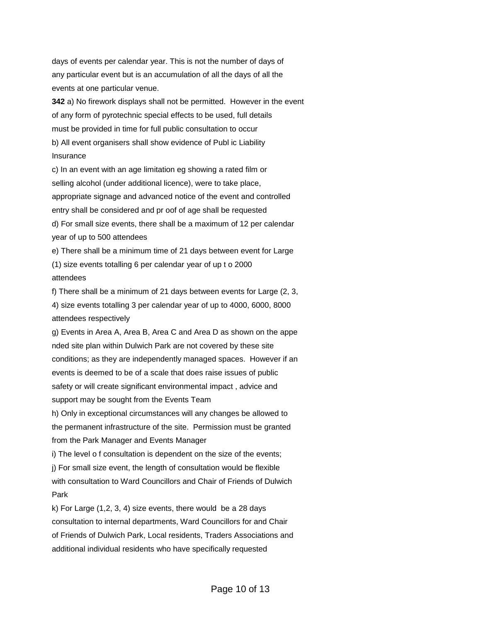days of events per calendar year. This is not the number of days of any particular event but is an accumulation of all the days of all the events at one particular venue.

**342** a) No firework displays shall not be permitted. However in the event of any form of pyrotechnic special effects to be used, full details must be provided in time for full public consultation to occur b) All event organisers shall show evidence of Publ ic Liability Insurance

c) In an event with an age limitation eg showing a rated film or selling alcohol (under additional licence), were to take place, appropriate signage and advanced notice of the event and controlled entry shall be considered and pr oof of age shall be requested d) For small size events, there shall be a maximum of 12 per calendar year of up to 500 attendees

e) There shall be a minimum time of 21 days between event for Large (1) size events totalling 6 per calendar year of up t o 2000 attendees

f) There shall be a minimum of 21 days between events for Large (2, 3, 4) size events totalling 3 per calendar year of up to 4000, 6000, 8000 attendees respectively

g) Events in Area A, Area B, Area C and Area D as shown on the appe nded site plan within Dulwich Park are not covered by these site conditions; as they are independently managed spaces. However if an events is deemed to be of a scale that does raise issues of public safety or will create significant environmental impact , advice and support may be sought from the Events Team

h) Only in exceptional circumstances will any changes be allowed to the permanent infrastructure of the site. Permission must be granted from the Park Manager and Events Manager

i) The level o f consultation is dependent on the size of the events; j) For small size event, the length of consultation would be flexible with consultation to Ward Councillors and Chair of Friends of Dulwich Park

k) For Large (1,2, 3, 4) size events, there would be a 28 days consultation to internal departments, Ward Councillors for and Chair of Friends of Dulwich Park, Local residents, Traders Associations and additional individual residents who have specifically requested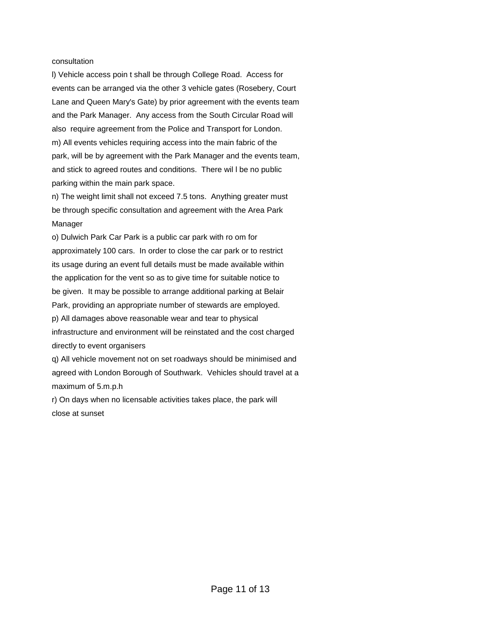#### consultation

l) Vehicle access poin t shall be through College Road. Access for events can be arranged via the other 3 vehicle gates (Rosebery, Court Lane and Queen Mary's Gate) by prior agreement with the events team and the Park Manager. Any access from the South Circular Road will also require agreement from the Police and Transport for London. m) All events vehicles requiring access into the main fabric of the park, will be by agreement with the Park Manager and the events team, and stick to agreed routes and conditions. There wil l be no public parking within the main park space.

n) The weight limit shall not exceed 7.5 tons. Anything greater must be through specific consultation and agreement with the Area Park Manager

o) Dulwich Park Car Park is a public car park with ro om for approximately 100 cars. In order to close the car park or to restrict its usage during an event full details must be made available within the application for the vent so as to give time for suitable notice to be given. It may be possible to arrange additional parking at Belair Park, providing an appropriate number of stewards are employed.

p) All damages above reasonable wear and tear to physical infrastructure and environment will be reinstated and the cost charged directly to event organisers

q) All vehicle movement not on set roadways should be minimised and agreed with London Borough of Southwark. Vehicles should travel at a maximum of 5.m.p.h

r) On days when no licensable activities takes place, the park will close at sunset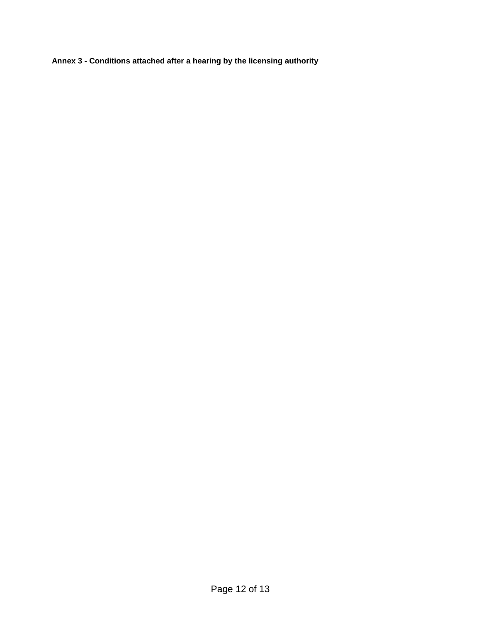**Annex 3 - Conditions attached after a hearing by the licensing authority**